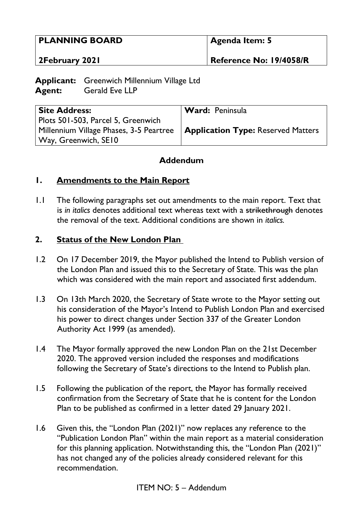| <b>PLANNING BOARD</b> | Agenda Item: 5          |
|-----------------------|-------------------------|
| <b>2February 2021</b> | Reference No: 19/4058/R |

**Applicant:** Greenwich Millennium Village Ltd **Agent:** Gerald Eve LLP

| <b>Site Address:</b>                                                               | Ward: Peninsula |
|------------------------------------------------------------------------------------|-----------------|
| Plots 501-503, Parcel 5, Greenwich                                                 |                 |
| Millennium Village Phases, 3-5 Peartree $\vert$ Application Type: Reserved Matters |                 |
| Way, Greenwich, SE10                                                               |                 |

# **Addendum**

### **1. Amendments to the Main Report**

1.1 The following paragraphs set out amendments to the main report. Text that is *in italics* denotes additional text whereas text with a strikethrough denotes the removal of the text. Additional conditions are shown in *italics.* 

### **2. Status of the New London Plan**

- 1.2 On 17 December 2019, the Mayor published the Intend to Publish version of the London Plan and issued this to the Secretary of State. This was the plan which was considered with the main report and associated first addendum.
- 1.3 On 13th March 2020, the Secretary of State wrote to the Mayor setting out his consideration of the Mayor's Intend to Publish London Plan and exercised his power to direct changes under Section 337 of the Greater London Authority Act 1999 (as amended).
- 1.4 The Mayor formally approved the new London Plan on the 21st December 2020. The approved version included the responses and modifications following the Secretary of State's directions to the Intend to Publish plan.
- 1.5 Following the publication of the report, the Mayor has formally received confirmation from the Secretary of State that he is content for the London Plan to be published as confirmed in a letter dated 29 January 2021.
- 1.6 Given this, the "London Plan (2021)" now replaces any reference to the "Publication London Plan" within the main report as a material consideration for this planning application. Notwithstanding this, the "London Plan (2021)" has not changed any of the policies already considered relevant for this recommendation.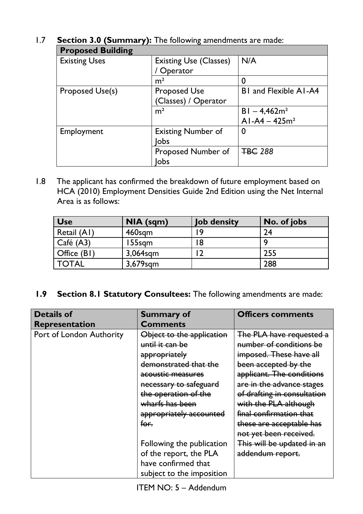# 1.7 **Section 3.0 (Summary):** The following amendments are made: **Proposed Building**

| <b>Proposed Building</b> |                                             |                                   |
|--------------------------|---------------------------------------------|-----------------------------------|
| <b>Existing Uses</b>     | <b>Existing Use (Classes)</b><br>Operator   | N/A                               |
|                          | m <sup>2</sup>                              | 0                                 |
| Proposed Use(s)          | <b>Proposed Use</b><br>(Classes) / Operator | <b>BI</b> and Flexible AI-A4      |
|                          | m <sup>2</sup>                              | $BI - 4,462m2$<br>$AI-AA - 425m2$ |
| Employment               | <b>Existing Number of</b><br><b>lobs</b>    | $\bf{0}$                          |
|                          | Proposed Number of<br>lobs                  | <b>TBC 288</b>                    |

1.8 The applicant has confirmed the breakdown of future employment based on HCA (2010) Employment Densities Guide 2nd Edition using the Net Internal Area is as follows:

| <b>Use</b>   | $NIA$ (sqm) | <b>Job density</b> | No. of jobs |
|--------------|-------------|--------------------|-------------|
| Retail (A1)  | 460sqm      | ۱9                 | 24          |
| Café(A3)     | 155sgm      | 18                 | O           |
| Office (B1)  | $3,064$ sqm | $\overline{2}$     | 255         |
| <b>TOTAL</b> | $3,679$ sqm |                    | 288         |

**1.9 Section 8.1 Statutory Consultees:** The following amendments are made:

| <b>Details of</b>        | <b>Summary of</b>         | <b>Officers comments</b>    |
|--------------------------|---------------------------|-----------------------------|
| <b>Representation</b>    | <b>Comments</b>           |                             |
| Port of London Authority | Object to the application | The PLA have requested a    |
|                          | until it can be           | number of conditions be     |
|                          | appropriately             | imposed. These have all     |
|                          | demonstrated that the     | been accepted by the        |
|                          | acoustic measures         | applicant. The conditions   |
|                          | necessary to safeguard    | are in the advance stages   |
|                          | the operation of the      | of drafting in consultation |
|                          | wharfs has been           | with the PLA although       |
|                          | appropriately accounted   | final confirmation that     |
|                          | for.                      | these are acceptable has    |
|                          |                           | not yet been received.      |
|                          | Following the publication | This will be updated in an  |
|                          | of the report, the PLA    | addendum report.            |
|                          | have confirmed that       |                             |
|                          | subject to the imposition |                             |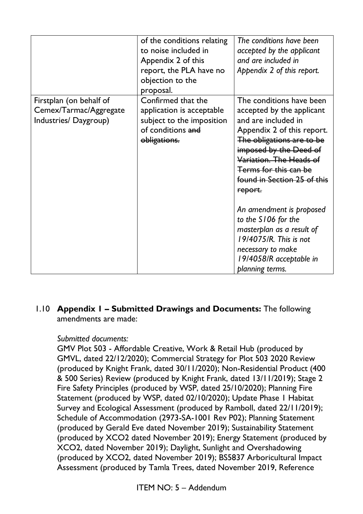|                         | of the conditions relating<br>to noise included in<br>Appendix 2 of this | The conditions have been<br>accepted by the applicant<br>and are included in |
|-------------------------|--------------------------------------------------------------------------|------------------------------------------------------------------------------|
|                         | report, the PLA have no                                                  | Appendix 2 of this report.                                                   |
|                         | objection to the                                                         |                                                                              |
|                         | proposal.                                                                |                                                                              |
| Firstplan (on behalf of | Confirmed that the                                                       | The conditions have been                                                     |
| Cemex/Tarmac/Aggregate  | application is acceptable                                                | accepted by the applicant                                                    |
| Industries/Daygroup)    | subject to the imposition                                                | and are included in                                                          |
|                         | of conditions and                                                        | Appendix 2 of this report.                                                   |
|                         | obligations.                                                             | The obligations are to be                                                    |
|                         |                                                                          | imposed by the Deed of                                                       |
|                         |                                                                          | Variation. The Heads of                                                      |
|                         |                                                                          | Terms for this can be                                                        |
|                         |                                                                          | found in Section 25 of this                                                  |
|                         |                                                                          | report.                                                                      |
|                         |                                                                          | An amendment is proposed                                                     |
|                         |                                                                          | to the S106 for the                                                          |
|                         |                                                                          | masterplan as a result of                                                    |
|                         |                                                                          | 19/4075/R. This is not                                                       |
|                         |                                                                          | necessary to make                                                            |
|                         |                                                                          | 19/4058/R acceptable in                                                      |
|                         |                                                                          | planning terms.                                                              |

### 1.10 **Appendix 1 – Submitted Drawings and Documents:** The following amendments are made:

#### *Submitted documents:*

GMV Plot 503 - Affordable Creative, Work & Retail Hub (produced by GMVL, dated 22/12/2020); Commercial Strategy for Plot 503 2020 Review (produced by Knight Frank, dated 30/11/2020); Non-Residential Product (400 & 500 Series) Review (produced by Knight Frank, dated 13/11/2019); Stage 2 Fire Safety Principles (produced by WSP, dated 25/10/2020); Planning Fire Statement (produced by WSP, dated 02/10/2020); Update Phase 1 Habitat Survey and Ecological Assessment (produced by Ramboll, dated 22/11/2019); Schedule of Accommodation (2973-SA-1001 Rev P02); Planning Statement (produced by Gerald Eve dated November 2019); Sustainability Statement (produced by XCO2 dated November 2019); Energy Statement (produced by XCO2, dated November 2019); Daylight, Sunlight and Overshadowing (produced by XCO2, dated November 2019); BS5837 Arboricultural Impact Assessment (produced by Tamla Trees, dated November 2019, Reference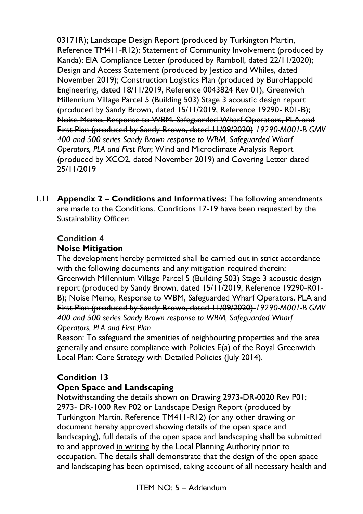03171R); Landscape Design Report (produced by Turkington Martin, Reference TM411-R12); Statement of Community Involvement (produced by Kanda); EIA Compliance Letter (produced by Ramboll, dated 22/11/2020); Design and Access Statement (produced by Jestico and Whiles, dated November 2019); Construction Logistics Plan (produced by BuroHappold Engineering, dated 18/11/2019, Reference 0043824 Rev 01); Greenwich Millennium Village Parcel 5 (Building 503) Stage 3 acoustic design report (produced by Sandy Brown, dated 15/11/2019, Reference 19290- R01-B); Noise Memo, Response to WBM, Safeguarded Wharf Operators, PLA and First Plan (produced by Sandy Brown, dated 11/09/2020) *19290-M001-B GMV 400 and 500 series Sandy Brown response to WBM, Safeguarded Wharf Operators, PLA and First Plan*; Wind and Microclimate Analysis Report (produced by XCO2, dated November 2019) and Covering Letter dated 25/11/2019

1.11 **Appendix 2 – Conditions and Informatives:** The following amendments are made to the Conditions. Conditions 17-19 have been requested by the Sustainability Officer:

# **Condition 4 Noise Mitigation**

The development hereby permitted shall be carried out in strict accordance with the following documents and any mitigation required therein: Greenwich Millennium Village Parcel 5 (Building 503) Stage 3 acoustic design report (produced by Sandy Brown, dated 15/11/2019, Reference 19290-R01- B); Noise Memo, Response to WBM, Safeguarded Wharf Operators, PLA and First Plan (produced by Sandy Brown, dated 11/09/2020) *19290-M001-B GMV 400 and 500 series Sandy Brown response to WBM, Safeguarded Wharf Operators, PLA and First Plan*

Reason: To safeguard the amenities of neighbouring properties and the area generally and ensure compliance with Policies E(a) of the Royal Greenwich Local Plan: Core Strategy with Detailed Policies (July 2014).

# **Condition 13**

# **Open Space and Landscaping**

Notwithstanding the details shown on Drawing 2973-DR-0020 Rev P01; 2973- DR-1000 Rev P02 or Landscape Design Report (produced by Turkington Martin, Reference TM411-R12) (or any other drawing or document hereby approved showing details of the open space and landscaping), full details of the open space and landscaping shall be submitted to and approved in writing by the Local Planning Authority prior to occupation. The details shall demonstrate that the design of the open space and landscaping has been optimised, taking account of all necessary health and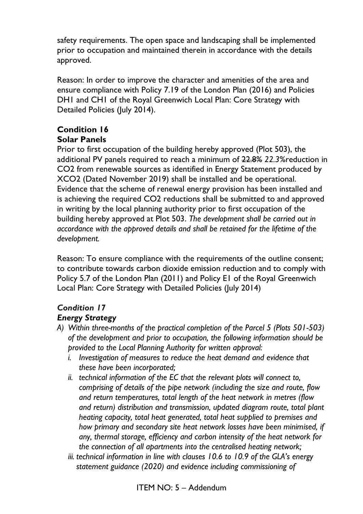safety requirements. The open space and landscaping shall be implemented prior to occupation and maintained therein in accordance with the details approved.

Reason: In order to improve the character and amenities of the area and ensure compliance with Policy 7.19 of the London Plan (2016) and Policies DH1 and CH1 of the Royal Greenwich Local Plan: Core Strategy with Detailed Policies (July 2014).

# **Condition 16 Solar Panels**

Prior to first occupation of the building hereby approved (Plot 503), the additional PV panels required to reach a minimum of 22.8% *22.3%*reduction in CO2 from renewable sources as identified in Energy Statement produced by XCO2 (Dated November 2019) shall be installed and be operational. Evidence that the scheme of renewal energy provision has been installed and is achieving the required CO2 reductions shall be submitted to and approved in writing by the local planning authority prior to first occupation of the building hereby approved at Plot 503. *The development shall be carried out in accordance with the approved details and shall be retained for the lifetime of the development.*

Reason: To ensure compliance with the requirements of the outline consent; to contribute towards carbon dioxide emission reduction and to comply with Policy 5.7 of the London Plan (2011) and Policy E1 of the Royal Greenwich Local Plan: Core Strategy with Detailed Policies (July 2014)

# *Condition 17*

# *Energy Strategy*

- *A) Within three-months of the practical completion of the Parcel 5 (Plots 501-503) of the development and prior to occupation, the following information should be provided to the Local Planning Authority for written approval:*
	- *i. Investigation of measures to reduce the heat demand and evidence that these have been incorporated;*
	- *ii. technical information of the EC that the relevant plots will connect to, comprising of details of the pipe network (including the size and route, flow and return temperatures, total length of the heat network in metres (flow and return) distribution and transmission, updated diagram route, total plant heating capacity, total heat generated, total heat supplied to premises and how primary and secondary site heat network losses have been minimised, if any, thermal storage, efficiency and carbon intensity of the heat network for the connection of all apartments into the centralised heating network;*
	- *iii. technical information in line with clauses 10.6 to 10.9 of the GLA's energy statement guidance (2020) and evidence including commissioning of*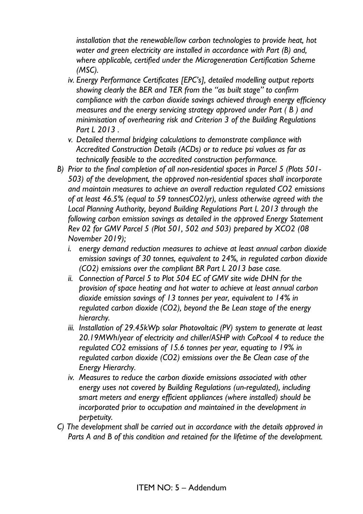*installation that the renewable/low carbon technologies to provide heat, hot water and green electricity are installed in accordance with Part (B) and, where applicable, certified under the Microgeneration Certification Scheme (MSC).*

- *iv. Energy Performance Certificates [EPC's], detailed modelling output reports showing clearly the BER and TER from the "as built stage" to confirm compliance with the carbon dioxide savings achieved through energy efficiency measures and the energy servicing strategy approved under Part ( B ) and minimisation of overhearing risk and Criterion 3 of the Building Regulations Part L 2013 .*
- *v. Detailed thermal bridging calculations to demonstrate compliance with Accredited Construction Details (ACDs) or to reduce psi values as far as technically feasible to the accredited construction performance.*
- *B) Prior to the final completion of all non-residential spaces in Parcel 5 (Plots 501- 503) of the development, the approved non-residential spaces shall incorporate and maintain measures to achieve an overall reduction regulated CO2 emissions of at least 46.5% (equal to 59 tonnesCO2/yr), unless otherwise agreed with the Local Planning Authority, beyond Building Regulations Part L 2013 through the following carbon emission savings as detailed in the approved Energy Statement Rev 02 for GMV Parcel 5 (Plot 501, 502 and 503) prepared by XCO2 (08 November 2019);*
	- *i. energy demand reduction measures to achieve at least annual carbon dioxide emission savings of 30 tonnes, equivalent to 24%, in regulated carbon dioxide (CO2) emissions over the compliant BR Part L 2013 base case.*
	- *ii. Connection of Parcel 5 to Plot 504 EC of GMV site wide DHN for the provision of space heating and hot water to achieve at least annual carbon dioxide emission savings of 13 tonnes per year, equivalent to 14% in regulated carbon dioxide (CO2), beyond the Be Lean stage of the energy hierarchy.*
	- *iii. Installation of 29.45kWp solar Photovoltaic (PV) system to generate at least 20.19MWh/year of electricity and chiller/ASHP with CoPcool 4 to reduce the regulated CO2 emissions of 15.6 tonnes per year, equating to 19% in regulated carbon dioxide (CO2) emissions over the Be Clean case of the Energy Hierarchy.*
	- *iv. Measures to reduce the carbon dioxide emissions associated with other energy uses not covered by Building Regulations (un-regulated), including smart meters and energy efficient appliances (where installed) should be incorporated prior to occupation and maintained in the development in perpetuity.*
- *C) The development shall be carried out in accordance with the details approved in Parts A and B of this condition and retained for the lifetime of the development.*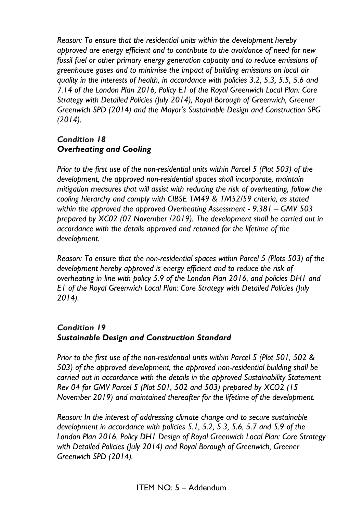*Reason: To ensure that the residential units within the development hereby approved are energy efficient and to contribute to the avoidance of need for new fossil fuel or other primary energy generation capacity and to reduce emissions of greenhouse gases and to minimise the impact of building emissions on local air quality in the interests of health, in accordance with policies 3.2, 5.3, 5.5, 5.6 and 7.14 of the London Plan 2016, Policy E1 of the Royal Greenwich Local Plan: Core Strategy with Detailed Policies (July 2014), Royal Borough of Greenwich, Greener Greenwich SPD (2014) and the Mayor's Sustainable Design and Construction SPG (2014).* 

### *Condition 18 Overheating and Cooling*

*Prior to the first use of the non-residential units within Parcel 5 (Plot 503) of the development, the approved non-residential spaces shall incorporate, maintain mitigation measures that will assist with reducing the risk of overheating, follow the cooling hierarchy and comply with CIBSE TM49 & TM52/59 criteria, as stated within the approved the approved Overheating Assessment - 9.381 – GMV 503 prepared by XC02 (07 November /2019). The development shall be carried out in accordance with the details approved and retained for the lifetime of the development.*

*Reason: To ensure that the non-residential spaces within Parcel 5 (Plots 503) of the development hereby approved is energy efficient and to reduce the risk of overheating in line with policy 5.9 of the London Plan 2016, and policies DH1 and E1 of the Royal Greenwich Local Plan: Core Strategy with Detailed Policies (July 2014).*

### *Condition 19 Sustainable Design and Construction Standard*

*Prior to the first use of the non-residential units within Parcel 5 (Plot 501, 502 & 503) of the approved development, the approved non-residential building shall be carried out in accordance with the details in the approved Sustainability Statement Rev 04 for GMV Parcel 5 (Plot 501, 502 and 503) prepared by XCO2 (15 November 2019) and maintained thereafter for the lifetime of the development.* 

*Reason: In the interest of addressing climate change and to secure sustainable development in accordance with policies 5.1, 5.2, 5.3, 5.6, 5.7 and 5.9 of the London Plan 2016, Policy DH1 Design of Royal Greenwich Local Plan: Core Strategy with Detailed Policies (July 2014) and Royal Borough of Greenwich, Greener Greenwich SPD (2014).*